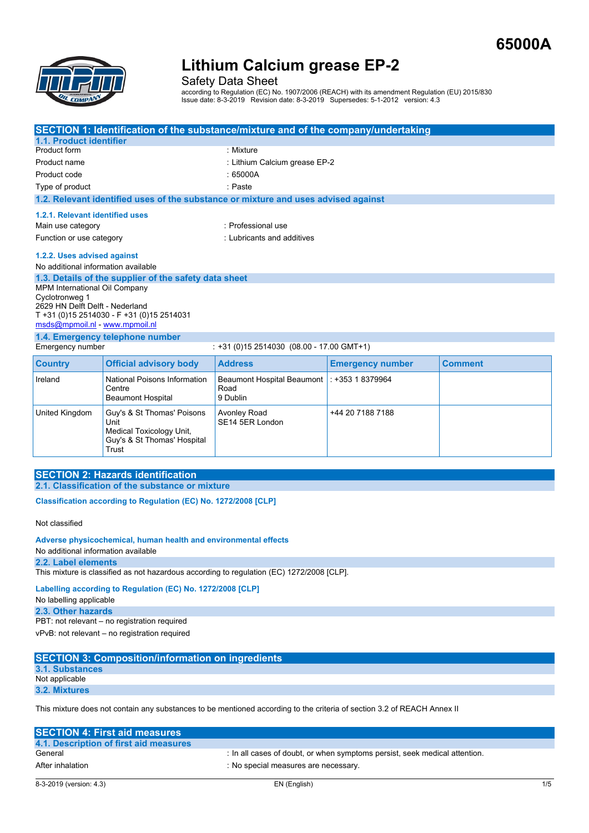

Safety Data Sheet

according to Regulation (EC) No. 1907/2006 (REACH) with its amendment Regulation (EU) 2015/830 Issue date: 8-3-2019 Revision date: 8-3-2019 Supersedes: 5-1-2012 version: 4.3

| SECTION 1: Identification of the substance/mixture and of the company/undertaking |                                                         |                                                                                    |                               |                |  |  |  |
|-----------------------------------------------------------------------------------|---------------------------------------------------------|------------------------------------------------------------------------------------|-------------------------------|----------------|--|--|--|
| 1.1. Product identifier                                                           |                                                         |                                                                                    |                               |                |  |  |  |
| Product form                                                                      |                                                         | : Mixture                                                                          |                               |                |  |  |  |
| Product name                                                                      |                                                         |                                                                                    | : Lithium Calcium grease EP-2 |                |  |  |  |
| Product code                                                                      |                                                         | :65000A                                                                            |                               |                |  |  |  |
| Type of product                                                                   |                                                         | : Paste                                                                            |                               |                |  |  |  |
|                                                                                   |                                                         | 1.2. Relevant identified uses of the substance or mixture and uses advised against |                               |                |  |  |  |
| 1.2.1. Relevant identified uses                                                   |                                                         |                                                                                    |                               |                |  |  |  |
| Main use category                                                                 |                                                         | · Professional use                                                                 |                               |                |  |  |  |
| Function or use category                                                          |                                                         | : Lubricants and additives                                                         |                               |                |  |  |  |
| 1.2.2. Uses advised against                                                       |                                                         |                                                                                    |                               |                |  |  |  |
| No additional information available                                               |                                                         |                                                                                    |                               |                |  |  |  |
|                                                                                   | 1.3. Details of the supplier of the safety data sheet   |                                                                                    |                               |                |  |  |  |
| <b>MPM International Oil Company</b>                                              |                                                         |                                                                                    |                               |                |  |  |  |
| Cyclotronweg 1                                                                    |                                                         |                                                                                    |                               |                |  |  |  |
| 2629 HN Delft Delft - Nederland                                                   |                                                         |                                                                                    |                               |                |  |  |  |
| T +31 (0)15 2514030 - F +31 (0)15 2514031<br>msds@mpmoil.nl - www.mpmoil.nl       |                                                         |                                                                                    |                               |                |  |  |  |
| 1.4. Emergency telephone number                                                   |                                                         |                                                                                    |                               |                |  |  |  |
| Emergency number                                                                  |                                                         | $: +31(0)152514030(08.00 - 17.00$ GMT+1)                                           |                               |                |  |  |  |
| <b>Country</b>                                                                    | <b>Official advisory body</b>                           | <b>Address</b>                                                                     | <b>Emergency number</b>       | <b>Comment</b> |  |  |  |
| Ireland                                                                           | National Poisons Information                            | Beaumont Hospital Beaumont : +353 1 8379964                                        |                               |                |  |  |  |
|                                                                                   | Centre                                                  | Road                                                                               |                               |                |  |  |  |
|                                                                                   | <b>Beaumont Hospital</b>                                | 9 Dublin                                                                           |                               |                |  |  |  |
| United Kingdom                                                                    | Guy's & St Thomas' Poisons                              | <b>Avonley Road</b>                                                                | +44 20 7188 7188              |                |  |  |  |
|                                                                                   | Unit                                                    | SE14 5ER London                                                                    |                               |                |  |  |  |
|                                                                                   | Medical Toxicology Unit,<br>Guy's & St Thomas' Hospital |                                                                                    |                               |                |  |  |  |

### **SECTION 2: Hazards identification 2.1. Classification of the substance or mixture**

Trust

**Classification according to Regulation (EC) No. 1272/2008 [CLP]** 

Not classified

#### **Adverse physicochemical, human health and environmental effects**

No additional information available

#### **2.2. Label elements**

This mixture is classified as not hazardous according to regulation (EC) 1272/2008 [CLP].

**Labelling according to Regulation (EC) No. 1272/2008 [CLP]** 

```
No labelling applicable
```
**2.3. Other hazards** PBT: not relevant – no registration required

vPvB: not relevant – no registration required

| <b>SECTION 3: Composition/information on ingredients</b> |  |
|----------------------------------------------------------|--|
| 3.1. Substances                                          |  |
| Not applicable                                           |  |
| 3.2. Mixtures                                            |  |
|                                                          |  |

This mixture does not contain any substances to be mentioned according to the criteria of section 3.2 of REACH Annex II

| <b>SECTION 4: First aid measures</b>   |                                                                            |
|----------------------------------------|----------------------------------------------------------------------------|
| 4.1. Description of first aid measures |                                                                            |
| General                                | : In all cases of doubt, or when symptoms persist, seek medical attention. |
| After inhalation                       | No special measures are necessary.                                         |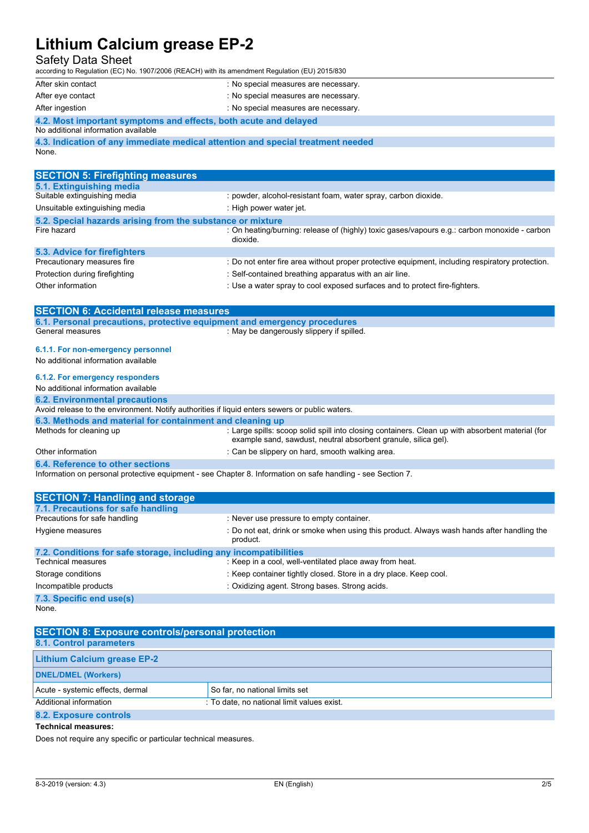## Safety Data Sheet

according to Regulation (EC) No. 1907/2006 (REACH) with its amendment Regulation (EU) 2015/830 After skin contact : No special measures are necessary.

| AIlte SNII vuillaul | . TVO SPECIAL INCRESS ALC HECESSALY.              |
|---------------------|---------------------------------------------------|
| After eye contact   | : No special measures are necessary.              |
| After ingention     | $h_{\alpha}$ anogial money $\alpha$ and nonconomy |

After ingestion in the second second in the second of the second in the Second Stephen Stephen Stephen Stephen Stephen Stephen Stephen Stephen Stephen Stephen Stephen Stephen Stephen Stephen Stephen Stephen Stephen Stephen

## **4.2. Most important symptoms and effects, both acute and delayed**

No additional information available

|          |  | 4.3. Indication of any immediate medical attention and special treatment needed |  |  |  |
|----------|--|---------------------------------------------------------------------------------|--|--|--|
| $\cdots$ |  |                                                                                 |  |  |  |

| None |
|------|
|------|

| <b>SECTION 5: Firefighting measures</b>                    |                                                                                                          |
|------------------------------------------------------------|----------------------------------------------------------------------------------------------------------|
| 5.1. Extinguishing media                                   |                                                                                                          |
| Suitable extinguishing media                               | : powder, alcohol-resistant foam, water spray, carbon dioxide.                                           |
| Unsuitable extinguishing media                             | : High power water jet.                                                                                  |
| 5.2. Special hazards arising from the substance or mixture |                                                                                                          |
| Fire hazard                                                | : On heating/burning: release of (highly) toxic gases/vapours e.g.: carbon monoxide - carbon<br>dioxide. |
| 5.3. Advice for firefighters                               |                                                                                                          |
| Precautionary measures fire                                | : Do not enter fire area without proper protective equipment, including respiratory protection.          |
| Protection during firefighting                             | : Self-contained breathing apparatus with an air line.                                                   |
| Other information                                          | : Use a water spray to cool exposed surfaces and to protect fire-fighters.                               |
|                                                            |                                                                                                          |
| <b>SECTION 6: Accidental release measures</b>              |                                                                                                          |

| 6.1. Personal precautions, protective equipment and emergency procedures                       |                                                                                                                                                                    |
|------------------------------------------------------------------------------------------------|--------------------------------------------------------------------------------------------------------------------------------------------------------------------|
| General measures                                                                               | : May be dangerously slippery if spilled.                                                                                                                          |
|                                                                                                |                                                                                                                                                                    |
| 6.1.1. For non-emergency personnel                                                             |                                                                                                                                                                    |
| No additional information available                                                            |                                                                                                                                                                    |
| 6.1.2. For emergency responders                                                                |                                                                                                                                                                    |
|                                                                                                |                                                                                                                                                                    |
| No additional information available                                                            |                                                                                                                                                                    |
| <b>6.2. Environmental precautions</b>                                                          |                                                                                                                                                                    |
| Avoid release to the environment. Notify authorities if liquid enters sewers or public waters. |                                                                                                                                                                    |
| 6.3. Methods and material for containment and cleaning up                                      |                                                                                                                                                                    |
| Methods for cleaning up                                                                        | : Large spills: scoop solid spill into closing containers. Clean up with absorbent material (for<br>example sand, sawdust, neutral absorbent granule, silica gel). |
| Other information                                                                              | : Can be slippery on hard, smooth walking area.                                                                                                                    |
| <b>A A BULLET AND A REPORT OF A REAL PROPERTY OF A REAL PROPERTY.</b>                          |                                                                                                                                                                    |

**6.4. Reference to other sections** Information on personal protective equipment - see Chapter 8. Information on safe handling - see Section 7.

| <b>SECTION 7: Handling and storage</b>                            |                                                                                                        |
|-------------------------------------------------------------------|--------------------------------------------------------------------------------------------------------|
| 7.1. Precautions for safe handling                                |                                                                                                        |
| Precautions for safe handling                                     | : Never use pressure to empty container.                                                               |
| Hygiene measures                                                  | : Do not eat, drink or smoke when using this product. Always wash hands after handling the<br>product. |
| 7.2. Conditions for safe storage, including any incompatibilities |                                                                                                        |
| <b>Technical measures</b>                                         | : Keep in a cool, well-ventilated place away from heat.                                                |
| Storage conditions                                                | : Keep container tightly closed. Store in a dry place. Keep cool.                                      |
| Incompatible products                                             | : Oxidizing agent. Strong bases. Strong acids.                                                         |
| 7.3. Specific end use(s)                                          |                                                                                                        |

None.

| <b>SECTION 8: Exposure controls/personal protection</b> |                                            |  |
|---------------------------------------------------------|--------------------------------------------|--|
| 8.1. Control parameters                                 |                                            |  |
| <b>Lithium Calcium grease EP-2</b>                      |                                            |  |
| <b>DNEL/DMEL (Workers)</b>                              |                                            |  |
| Acute - systemic effects, dermal                        | So far, no national limits set             |  |
| Additional information                                  | : To date, no national limit values exist. |  |
| 8.2. Exposure controls                                  |                                            |  |

#### **Technical measures:**

Does not require any specific or particular technical measures.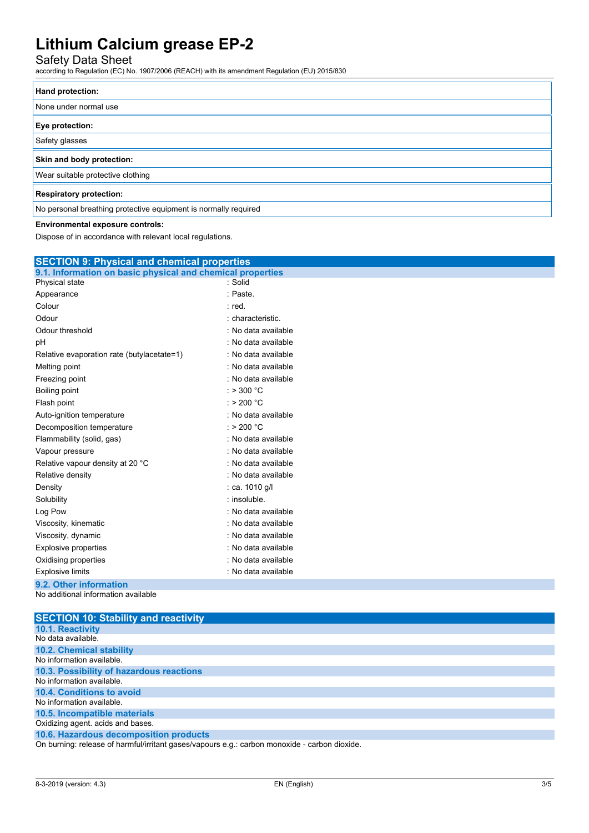## Safety Data Sheet

according to Regulation (EC) No. 1907/2006 (REACH) with its amendment Regulation (EU) 2015/830

| Hand protection:                                                |
|-----------------------------------------------------------------|
| None under normal use                                           |
| Eye protection:                                                 |
| Safety glasses                                                  |
| Skin and body protection:                                       |
| Wear suitable protective clothing                               |
| <b>Respiratory protection:</b>                                  |
| No personal breathing protective equipment is normally required |

#### **Environmental exposure controls:**

Dispose of in accordance with relevant local regulations.

| <b>SECTION 9: Physical and chemical properties</b>         |                      |  |
|------------------------------------------------------------|----------------------|--|
| 9.1. Information on basic physical and chemical properties |                      |  |
| Physical state                                             | : Solid              |  |
| Appearance                                                 | : Paste              |  |
| Colour                                                     | : red.               |  |
| Odour                                                      | : characteristic.    |  |
| Odour threshold                                            | : No data available  |  |
| pH                                                         | : No data available  |  |
| Relative evaporation rate (butylacetate=1)                 | : No data available  |  |
| Melting point                                              | : No data available  |  |
| Freezing point                                             | : No data available  |  |
| <b>Boiling point</b>                                       | : $> 300 °C$         |  |
| Flash point                                                | $:$ > 200 °C         |  |
| Auto-ignition temperature                                  | : No data available  |  |
| Decomposition temperature                                  | : > 200 $^{\circ}$ C |  |
| Flammability (solid, gas)                                  | : No data available  |  |
| Vapour pressure                                            | : No data available  |  |
| Relative vapour density at 20 °C                           | : No data available  |  |
| Relative density                                           | : No data available  |  |
| Density                                                    | : ca. 1010 g/l       |  |
| Solubility                                                 | : insoluble.         |  |
| Log Pow                                                    | : No data available  |  |
| Viscosity, kinematic                                       | : No data available  |  |
| Viscosity, dynamic                                         | : No data available  |  |
| <b>Explosive properties</b>                                | : No data available  |  |
| Oxidising properties                                       | : No data available  |  |
| <b>Explosive limits</b>                                    | : No data available  |  |
| 9.2. Other information                                     |                      |  |
| No additional information available                        |                      |  |

**SECTION 10: Stability and reactivity 10.1. Reactivity** No data available. **10.2. Chemical stability** No information available. **10.3. Possibility of hazardous reactions** No information available. **10.4. Conditions to avoid** No information available. **10.5. Incompatible materials** Oxidizing agent. acids and bases. **10.6. Hazardous decomposition products** On burning: release of harmful/irritant gases/vapours e.g.: carbon monoxide - carbon dioxide.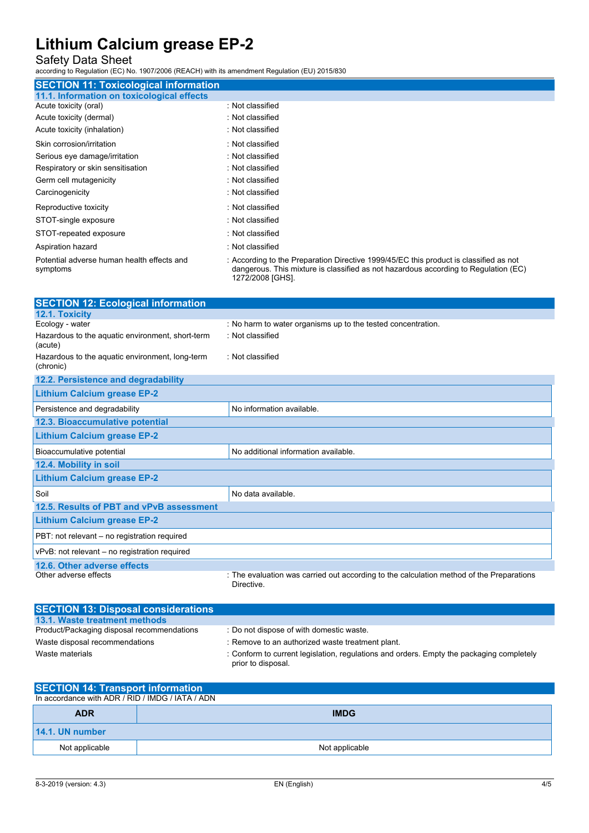## Safety Data Sheet

according to Regulation (EC) No. 1907/2006 (REACH) with its amendment Regulation (EU) 2015/830

| <b>SECTION 11: Toxicological information</b>           |                                                                                                                                                                                                  |
|--------------------------------------------------------|--------------------------------------------------------------------------------------------------------------------------------------------------------------------------------------------------|
| 11.1. Information on toxicological effects             |                                                                                                                                                                                                  |
| Acute toxicity (oral)                                  | : Not classified                                                                                                                                                                                 |
| Acute toxicity (dermal)                                | : Not classified                                                                                                                                                                                 |
| Acute toxicity (inhalation)                            | : Not classified                                                                                                                                                                                 |
| Skin corrosion/irritation                              | : Not classified                                                                                                                                                                                 |
| Serious eye damage/irritation                          | : Not classified                                                                                                                                                                                 |
| Respiratory or skin sensitisation                      | : Not classified                                                                                                                                                                                 |
| Germ cell mutagenicity                                 | : Not classified                                                                                                                                                                                 |
| Carcinogenicity                                        | : Not classified                                                                                                                                                                                 |
| Reproductive toxicity                                  | : Not classified                                                                                                                                                                                 |
| STOT-single exposure                                   | : Not classified                                                                                                                                                                                 |
| STOT-repeated exposure                                 | : Not classified                                                                                                                                                                                 |
| Aspiration hazard                                      | : Not classified                                                                                                                                                                                 |
| Potential adverse human health effects and<br>symptoms | : According to the Preparation Directive 1999/45/EC this product is classified as not<br>dangerous. This mixture is classified as not hazardous according to Regulation (EC)<br>1272/2008 [GHS]. |

| <b>SECTION 12: Ecological information</b>                    |                                                                                                        |
|--------------------------------------------------------------|--------------------------------------------------------------------------------------------------------|
| 12.1. Toxicity                                               |                                                                                                        |
| Ecology - water                                              | : No harm to water organisms up to the tested concentration.                                           |
| Hazardous to the aquatic environment, short-term<br>(acute)  | : Not classified                                                                                       |
| Hazardous to the aquatic environment, long-term<br>(chronic) | : Not classified                                                                                       |
| 12.2. Persistence and degradability                          |                                                                                                        |
| <b>Lithium Calcium grease EP-2</b>                           |                                                                                                        |
| Persistence and degradability                                | No information available.                                                                              |
| 12.3. Bioaccumulative potential                              |                                                                                                        |
| <b>Lithium Calcium grease EP-2</b>                           |                                                                                                        |
| Bioaccumulative potential                                    | No additional information available.                                                                   |
| 12.4. Mobility in soil                                       |                                                                                                        |
| <b>Lithium Calcium grease EP-2</b>                           |                                                                                                        |
| Soil                                                         | No data available.                                                                                     |
| 12.5. Results of PBT and vPvB assessment                     |                                                                                                        |
| <b>Lithium Calcium grease EP-2</b>                           |                                                                                                        |
| PBT: not relevant – no registration required                 |                                                                                                        |
| vPvB: not relevant – no registration required                |                                                                                                        |
| 12.6. Other adverse effects                                  |                                                                                                        |
| Other adverse effects                                        | : The evaluation was carried out according to the calculation method of the Preparations<br>Directive. |

| <b>SECTION 13: Disposal considerations</b> |                                                                                                                |
|--------------------------------------------|----------------------------------------------------------------------------------------------------------------|
| 13.1. Waste treatment methods              |                                                                                                                |
| Product/Packaging disposal recommendations | : Do not dispose of with domestic waste.                                                                       |
| Waste disposal recommendations             | : Remove to an authorized waste treatment plant.                                                               |
| Waste materials                            | : Conform to current legislation, regulations and orders. Empty the packaging completely<br>prior to disposal. |

| <b>SECTION 14: Transport information</b>         |                |  |
|--------------------------------------------------|----------------|--|
| In accordance with ADR / RID / IMDG / IATA / ADN |                |  |
| <b>ADR</b>                                       | <b>IMDG</b>    |  |
| 14.1. UN number                                  |                |  |
| Not applicable                                   | Not applicable |  |